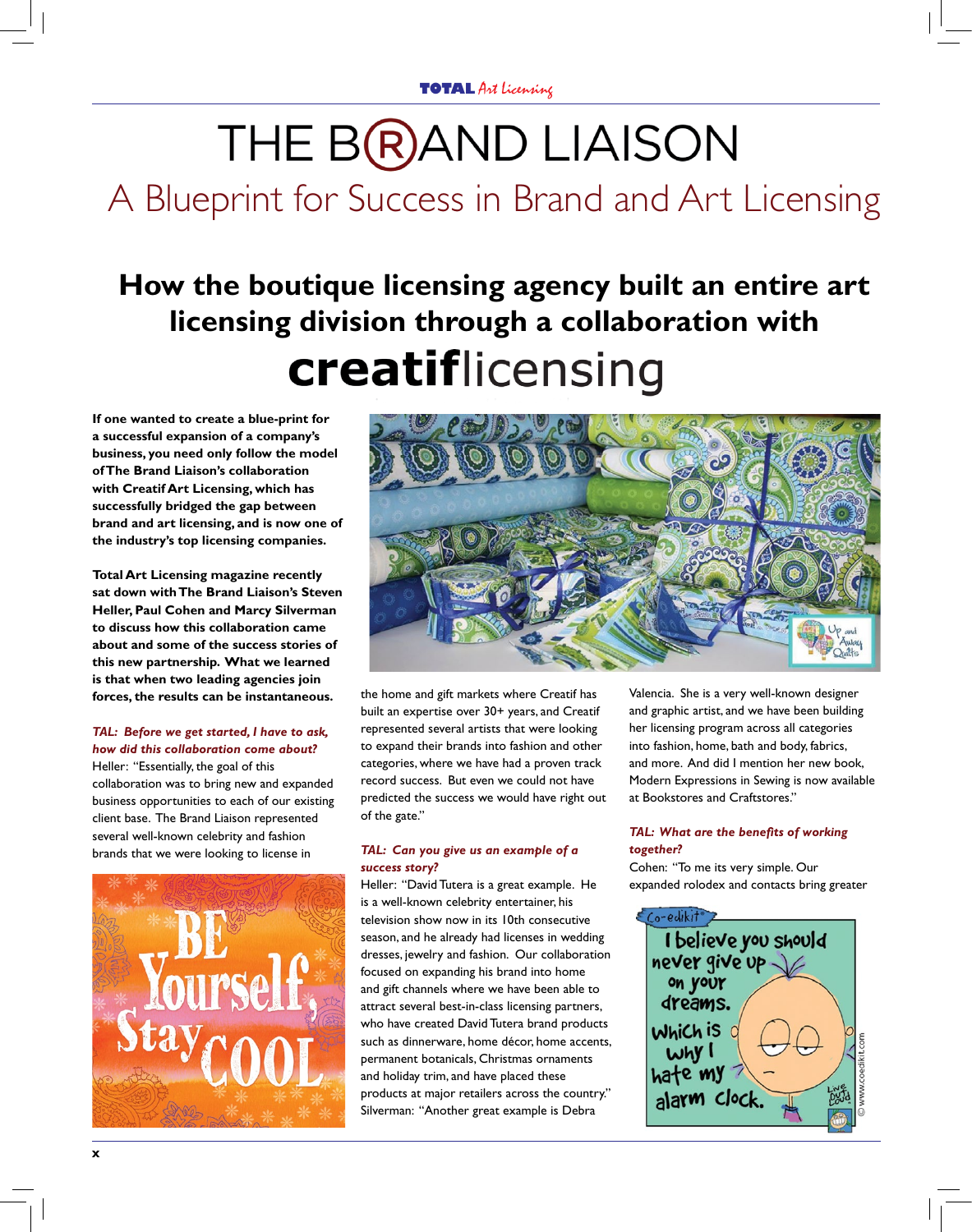# THE BRAND LIAISON

## A Blueprint for Success in Brand and Art Licensing

### **How the boutique licensing agency built an entire art licensing division through a collaboration with creatiflicensing**

**If one wanted to create a blue-print for a successful expansion of a company's business, you need only follow the model of The Brand Liaison's collaboration with Creatif Art Licensing, which has successfully bridged the gap between brand and art licensing, and is now one of the industry's top licensing companies.** 

**Total Art Licensing magazine recently sat down with The Brand Liaison's Steven Heller, Paul Cohen and Marcy Silverman to discuss how this collaboration came about and some of the success stories of this new partnership. What we learned is that when two leading agencies join forces, the results can be instantaneous.** 

#### *TAL: Before we get started, I have to ask, how did this collaboration come about?*

Heller: "Essentially, the goal of this collaboration was to bring new and expanded business opportunities to each of our existing client base. The Brand Liaison represented several well-known celebrity and fashion brands that we were looking to license in





the home and gift markets where Creatif has built an expertise over 30+ years, and Creatif represented several artists that were looking to expand their brands into fashion and other categories, where we have had a proven track record success. But even we could not have predicted the success we would have right out of the gate."

#### *TAL: Can you give us an example of a success story?*

Heller: "David Tutera is a great example. He is a well-known celebrity entertainer, his television show now in its 10th consecutive season, and he already had licenses in wedding dresses, jewelry and fashion. Our collaboration focused on expanding his brand into home and gift channels where we have been able to attract several best-in-class licensing partners, who have created David Tutera brand products such as dinnerware, home décor, home accents, permanent botanicals, Christmas ornaments and holiday trim, and have placed these products at major retailers across the country." Silverman: "Another great example is Debra

Valencia. She is a very well-known designer and graphic artist, and we have been building her licensing program across all categories into fashion, home, bath and body, fabrics, and more. And did I mention her new book, Modern Expressions in Sewing is now available at Bookstores and Craftstores."

#### *TAL: What are the benefits of working together?*

Cohen: "To me its very simple. Our expanded rolodex and contacts bring greater

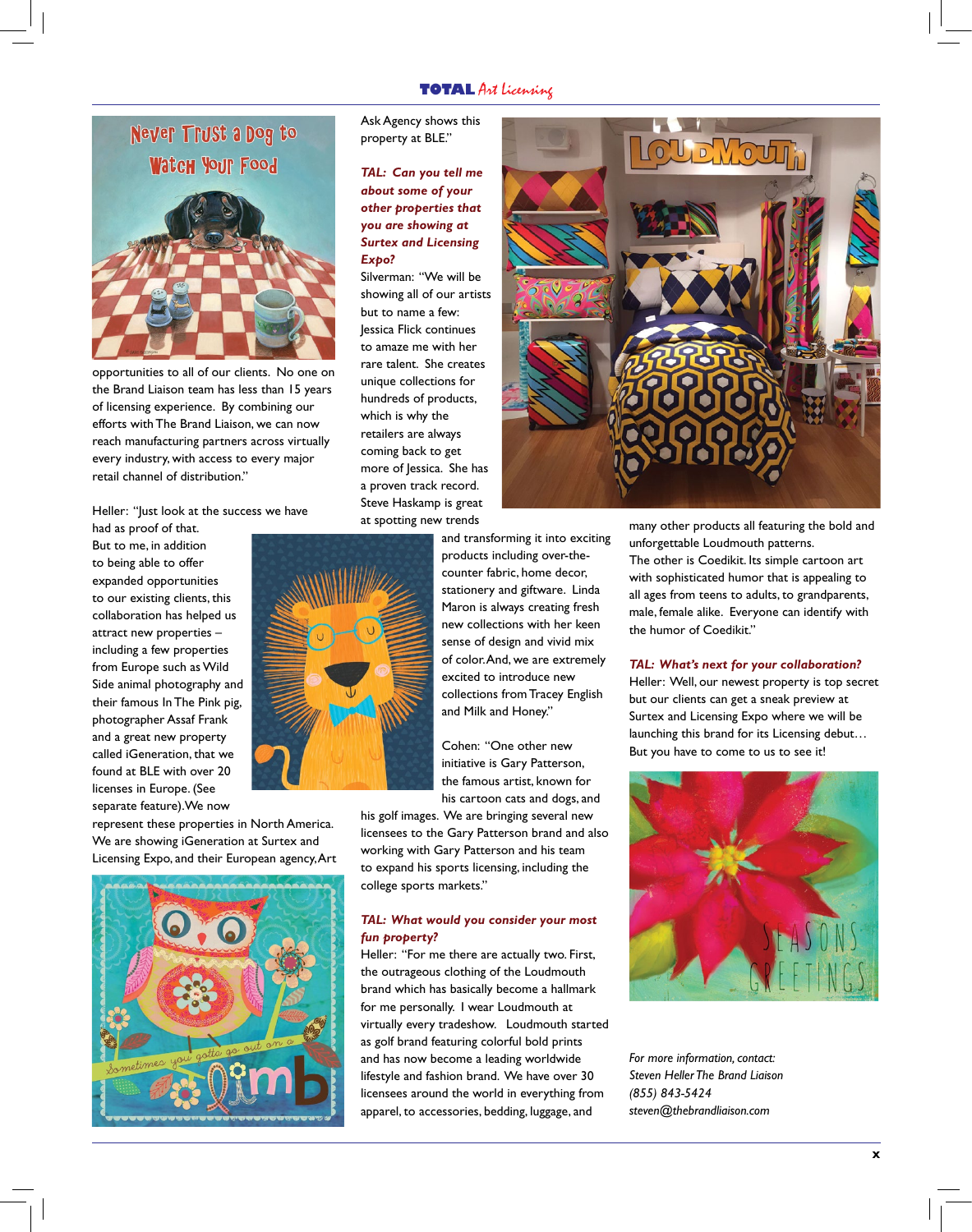#### **TOTAL** Art licensing



opportunities to all of our clients. No one on the Brand Liaison team has less than 15 years of licensing experience. By combining our efforts with The Brand Liaison, we can now reach manufacturing partners across virtually every industry, with access to every major retail channel of distribution."

Heller: "Just look at the success we have

had as proof of that. But to me, in addition to being able to offer expanded opportunities to our existing clients, this collaboration has helped us attract new properties – including a few properties from Europe such as Wild Side animal photography and their famous In The Pink pig, photographer Assaf Frank and a great new property called iGeneration, that we found at BLE with over 20 licenses in Europe. (See separate feature).We now

represent these properties in North America. We are showing iGeneration at Surtex and Licensing Expo, and their European agency, Art



Ask Agency shows this property at BLE."

*TAL: Can you tell me about some of your other properties that you are showing at Surtex and Licensing Expo?*

Silverman: "We will be showing all of our artists but to name a few: Jessica Flick continues to amaze me with her rare talent. She creates unique collections for hundreds of products, which is why the retailers are always coming back to get more of lessica. She has a proven track record. Steve Haskamp is great at spotting new trends



and transforming it into exciting products including over-thecounter fabric, home decor, stationery and giftware. Linda Maron is always creating fresh new collections with her keen sense of design and vivid mix of color. And, we are extremely excited to introduce new collections from Tracey English and Milk and Honey."

Cohen: "One other new initiative is Gary Patterson, the famous artist, known for his cartoon cats and dogs, and

his golf images. We are bringing several new licensees to the Gary Patterson brand and also working with Gary Patterson and his team to expand his sports licensing, including the college sports markets."

#### *TAL: What would you consider your most fun property?*

Heller: "For me there are actually two. First, the outrageous clothing of the Loudmouth brand which has basically become a hallmark for me personally. I wear Loudmouth at virtually every tradeshow. Loudmouth started as golf brand featuring colorful bold prints and has now become a leading worldwide lifestyle and fashion brand. We have over 30 licensees around the world in everything from apparel, to accessories, bedding, luggage, and

many other products all featuring the bold and unforgettable Loudmouth patterns. The other is Coedikit. Its simple cartoon art with sophisticated humor that is appealing to all ages from teens to adults, to grandparents, male, female alike. Everyone can identify with the humor of Coedikit."

#### *TAL: What's next for your collaboration?*

Heller: Well, our newest property is top secret but our clients can get a sneak preview at Surtex and Licensing Expo where we will be launching this brand for its Licensing debut… But you have to come to us to see it!



*For more information, contact: Steven Heller The Brand Liaison (855) 843-5424 steven@thebrandliaison.com*